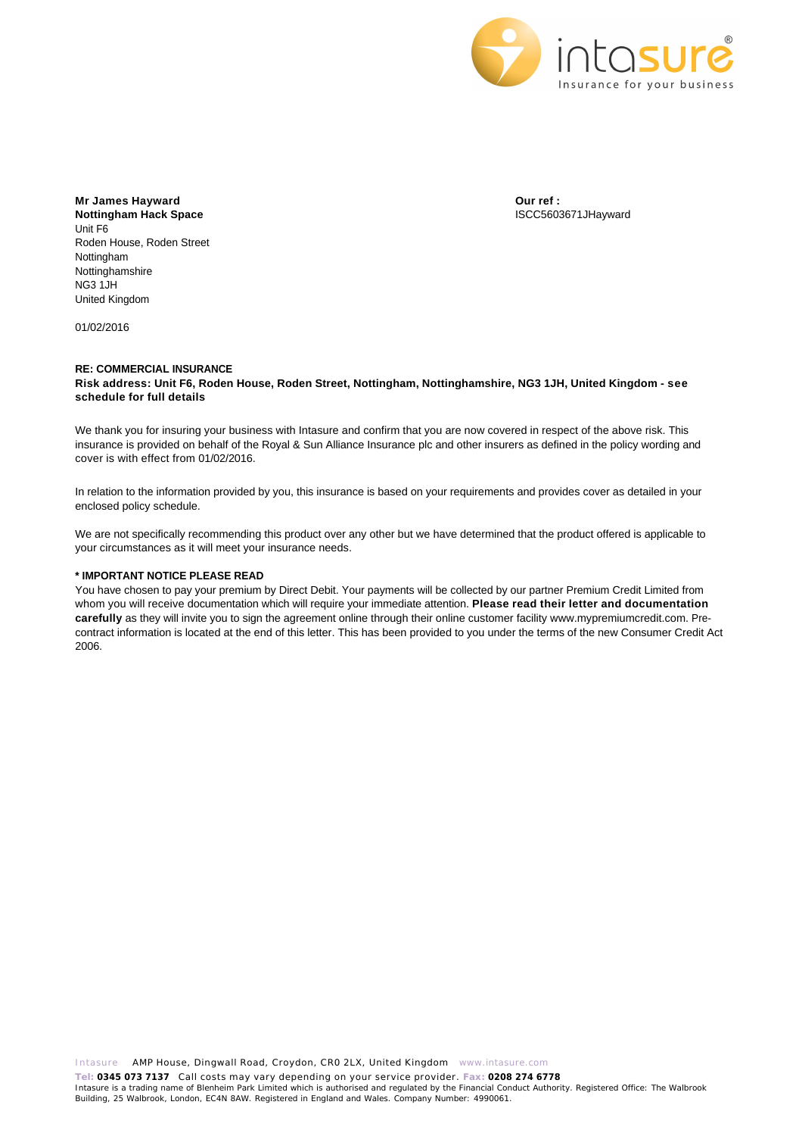

**Mr James Hayward Nottingham Hack Space** Unit F6 Roden House, Roden Street Nottingham Nottinghamshire NG3 1JH United Kingdom

01/02/2016

**Our ref :** ISCC5603671JHayward

### **RE: COMMERCIAL INSURANCE Risk address: Unit F6, Roden House, Roden Street, Nottingham, Nottinghamshire, NG3 1JH, United Kingdom - see schedule for full details**

We thank you for insuring your business with Intasure and confirm that you are now covered in respect of the above risk. This insurance is provided on behalf of the Royal & Sun Alliance Insurance plc and other insurers as defined in the policy wording and cover is with effect from 01/02/2016.

In relation to the information provided by you, this insurance is based on your requirements and provides cover as detailed in your enclosed policy schedule.

We are not specifically recommending this product over any other but we have determined that the product offered is applicable to your circumstances as it will meet your insurance needs.

### **\* IMPORTANT NOTICE PLEASE READ**

You have chosen to pay your premium by Direct Debit. Your payments will be collected by our partner Premium Credit Limited from whom you will receive documentation which will require your immediate attention. **Please read their letter and documentation carefully** as they will invite you to sign the agreement online through their online customer facility www.mypremiumcredit.com. Precontract information is located at the end of this letter. This has been provided to you under the terms of the new Consumer Credit Act 2006.

Intasure AMP House, Dingwall Road, Croydon, CR0 2LX, United Kingdom www.intasure.com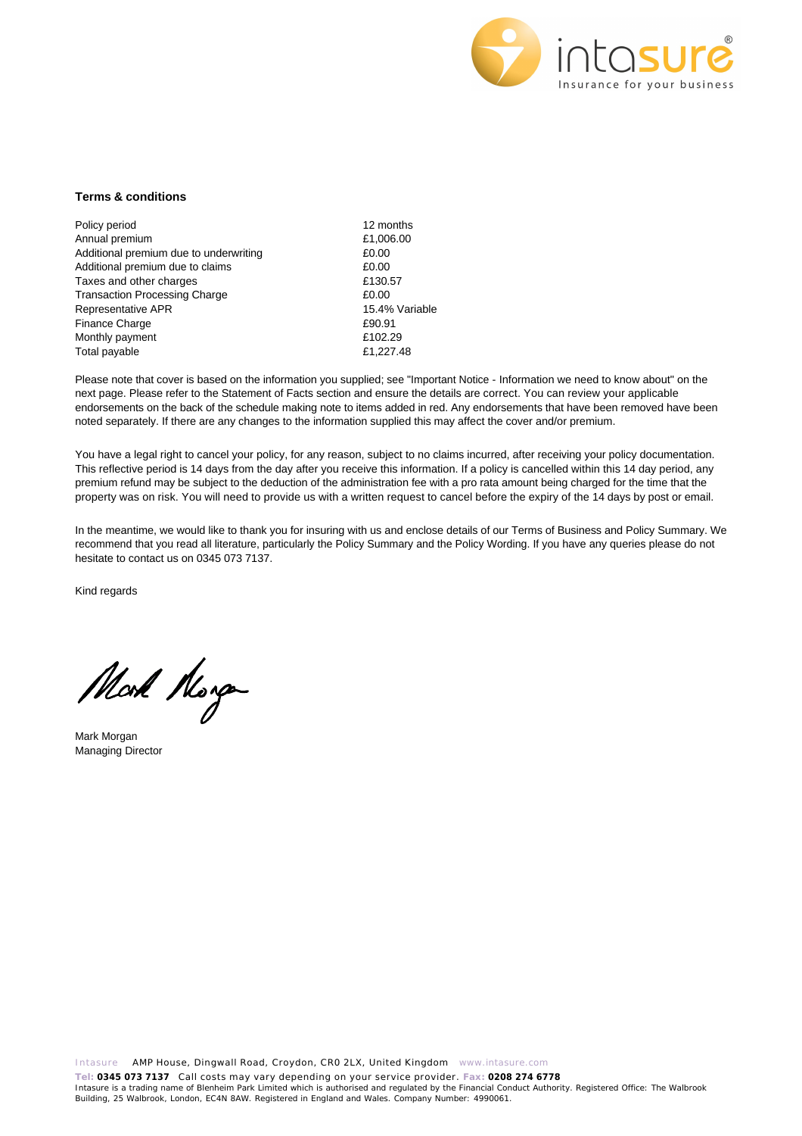

### **Terms & conditions**

Policy period 12 months Annual premium  $£1,006.00$ Additional premium due to underwriting  $£0.00$ Additional premium due to claims **ED.00** Taxes and other charges **E130.57** Transaction Processing Charge **1988** 20.00 Representative APR 15.4% Variable Finance Charge **E90.91** Monthly payment **E102.29** Total payable **E1,227.48** 

Please note that cover is based on the information you supplied; see "Important Notice - Information we need to know about" on the next page. Please refer to the Statement of Facts section and ensure the details are correct. You can review your applicable endorsements on the back of the schedule making note to items added in red. Any endorsements that have been removed have been noted separately. If there are any changes to the information supplied this may affect the cover and/or premium.

You have a legal right to cancel your policy, for any reason, subject to no claims incurred, after receiving your policy documentation. This reflective period is 14 days from the day after you receive this information. If a policy is cancelled within this 14 day period, any premium refund may be subject to the deduction of the administration fee with a pro rata amount being charged for the time that the property was on risk. You will need to provide us with a written request to cancel before the expiry of the 14 days by post or email.

In the meantime, we would like to thank you for insuring with us and enclose details of our Terms of Business and Policy Summary. We recommend that you read all literature, particularly the Policy Summary and the Policy Wording. If you have any queries please do not hesitate to contact us on 0345 073 7137.

Kind regards

Mod Norg

Mark Morgan Managing Director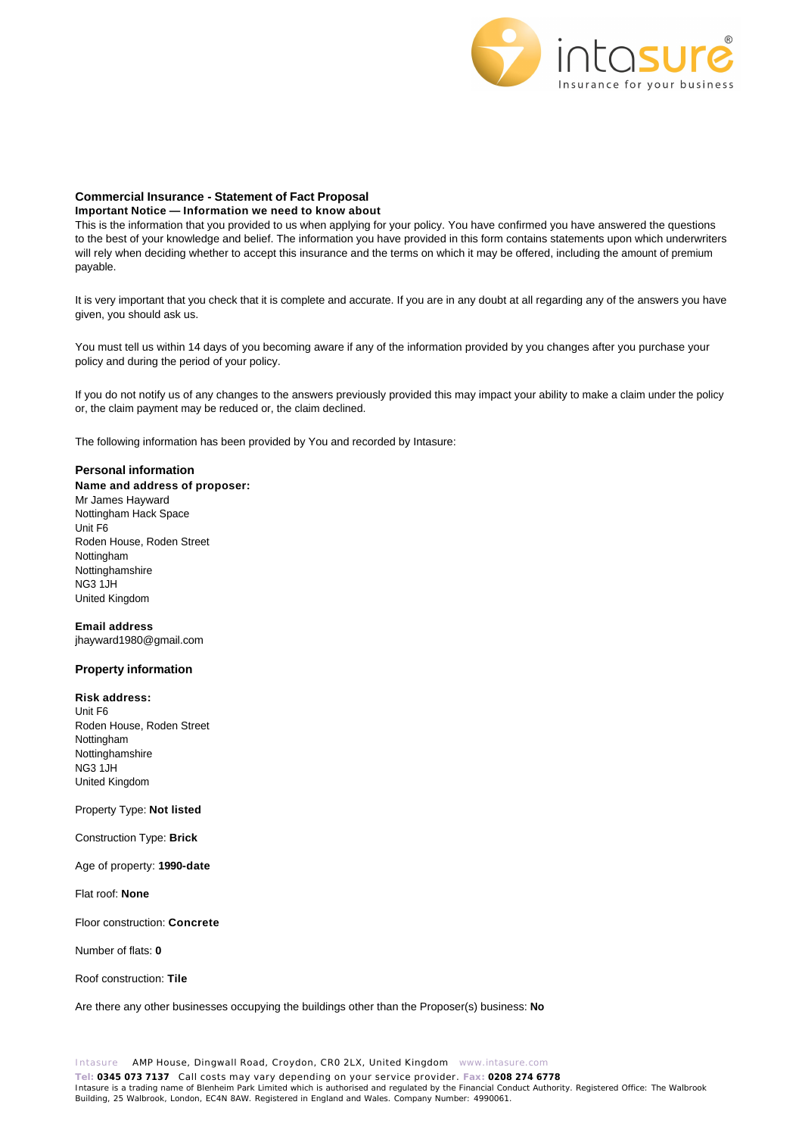

### **Commercial Insurance - Statement of Fact Proposal**

### **Important Notice — Information we need to know about**

This is the information that you provided to us when applying for your policy. You have confirmed you have answered the questions to the best of your knowledge and belief. The information you have provided in this form contains statements upon which underwriters will rely when deciding whether to accept this insurance and the terms on which it may be offered, including the amount of premium payable.

It is very important that you check that it is complete and accurate. If you are in any doubt at all regarding any of the answers you have given, you should ask us.

You must tell us within 14 days of you becoming aware if any of the information provided by you changes after you purchase your policy and during the period of your policy.

If you do not notify us of any changes to the answers previously provided this may impact your ability to make a claim under the policy or, the claim payment may be reduced or, the claim declined.

The following information has been provided by You and recorded by Intasure:

### **Personal information**

**Name and address of proposer:**  Mr James Hayward Nottingham Hack Space Unit F6 Roden House, Roden Street Nottingham Nottinghamshire NG3 1JH United Kingdom

**Email address**  jhayward1980@gmail.com

### **Property information**

**Risk address:** Unit F6 Roden House, Roden Street

Nottingham Nottinghamshire NG3 1JH United Kingdom

### Property Type: **Not listed**

Construction Type: **Brick**

Age of property: **1990-date**

Flat roof: **None**

Floor construction: **Concrete**

Number of flats: **0**

Roof construction: **Tile**

Are there any other businesses occupying the buildings other than the Proposer(s) business: **No**

Intasure AMP House, Dingwall Road, Croydon, CR0 2LX, United Kingdom www.intasure.com **Tel: 0345 073 7137** Call costs may vary depending on your service provider. **Fax: 0208 274 6778**  Intasure is a trading name of Blenheim Park Limited which is authorised and regulated by the Financial Conduct Authority. Registered Office: The Walbrook Building, 25 Walbrook, London, EC4N 8AW. Registered in England and Wales. Company Number: 4990061.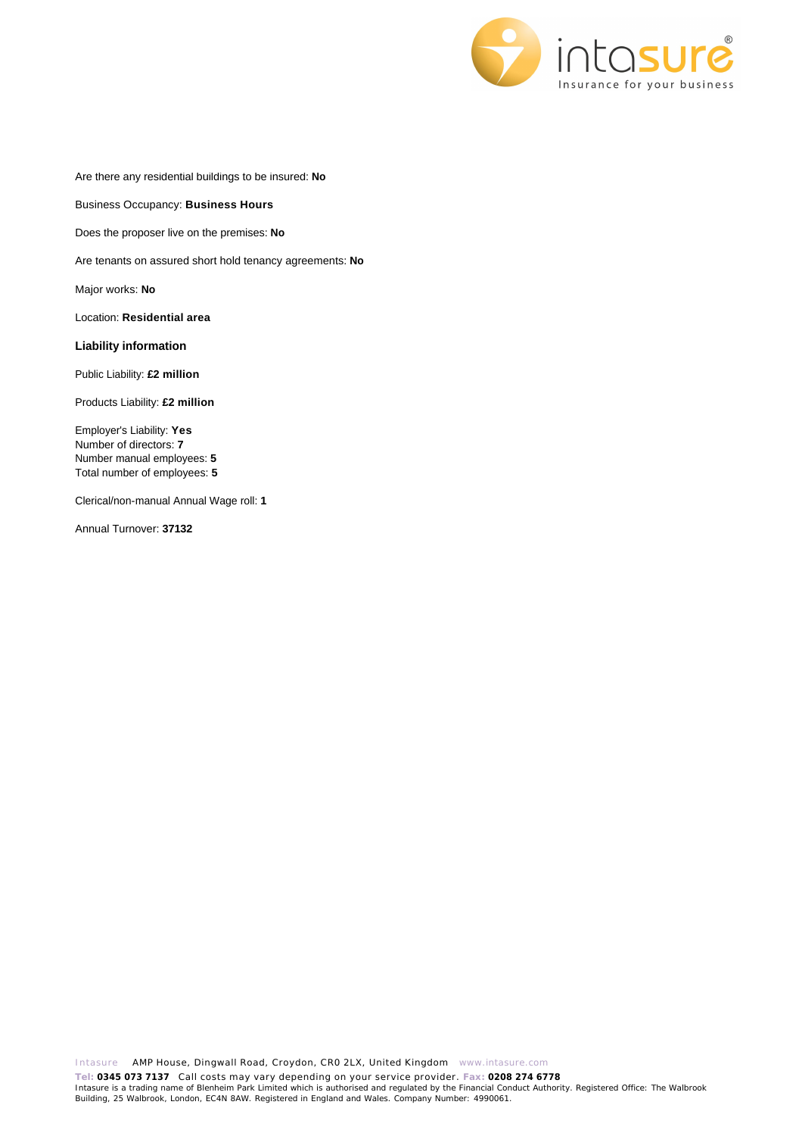

Are there any residential buildings to be insured: **No**

Business Occupancy: **Business Hours**

Does the proposer live on the premises: **No**

Are tenants on assured short hold tenancy agreements: **No**

Major works: **No**

Location: **Residential area**

### **Liability information**

Public Liability: **£2 million**

Products Liability: **£2 million**

Employer's Liability: **Yes** Number of directors: **7** Number manual employees: **5** Total number of employees: **5**

Clerical/non-manual Annual Wage roll: **1**

Annual Turnover: **37132**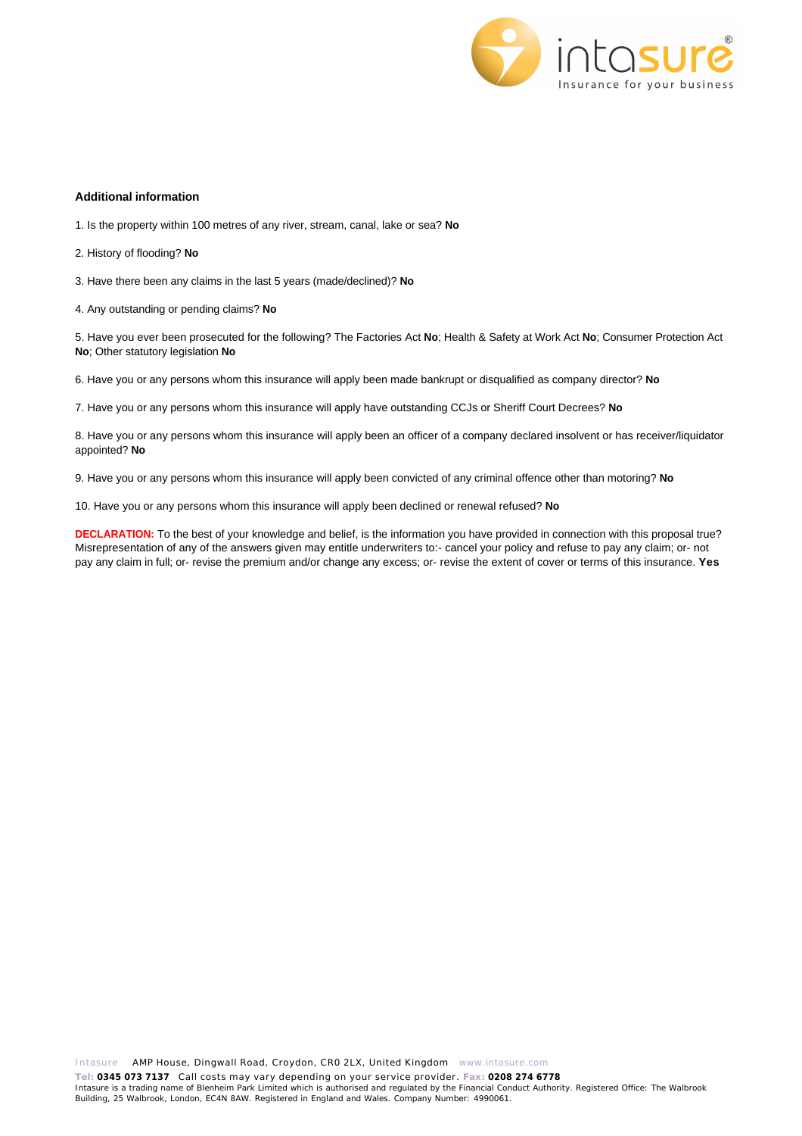

### **Additional information**

1. Is the property within 100 metres of any river, stream, canal, lake or sea? **No**

2. History of flooding? **No**

3. Have there been any claims in the last 5 years (made/declined)? **No**

4. Any outstanding or pending claims? **No**

5. Have you ever been prosecuted for the following? The Factories Act **No**; Health & Safety at Work Act **No**; Consumer Protection Act **No**; Other statutory legislation **No**

6. Have you or any persons whom this insurance will apply been made bankrupt or disqualified as company director? **No**

7. Have you or any persons whom this insurance will apply have outstanding CCJs or Sheriff Court Decrees? **No**

8. Have you or any persons whom this insurance will apply been an officer of a company declared insolvent or has receiver/liquidator appointed? **No**

9. Have you or any persons whom this insurance will apply been convicted of any criminal offence other than motoring? **No**

10. Have you or any persons whom this insurance will apply been declined or renewal refused? **No**

**DECLARATION:** To the best of your knowledge and belief, is the information you have provided in connection with this proposal true? Misrepresentation of any of the answers given may entitle underwriters to:- cancel your policy and refuse to pay any claim; or- not pay any claim in full; or- revise the premium and/or change any excess; or- revise the extent of cover or terms of this insurance. **Yes**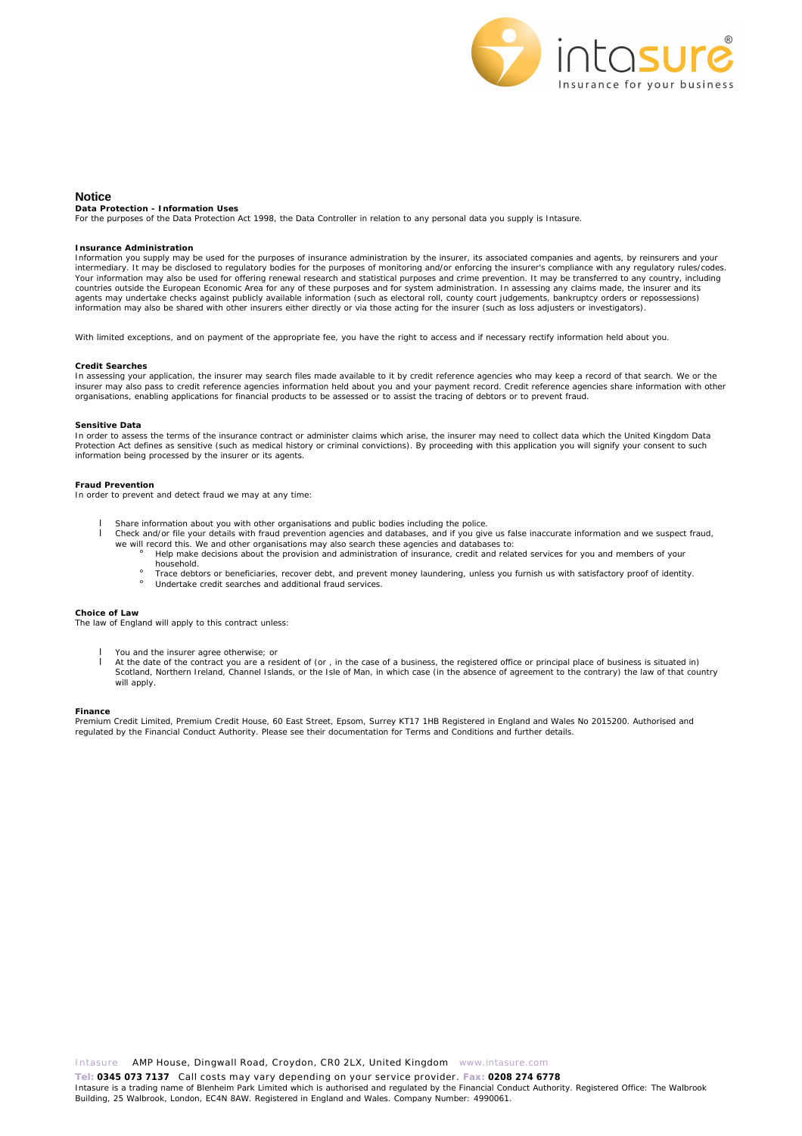

#### **Notice**

**Data Protection - Information Uses**

For the purposes of the Data Protection Act 1998, the Data Controller in relation to any personal data you supply is Intasure.

#### **Insurance Administration**

Information you supply may be used for the purposes of insurance administration by the insurer, its associated companies and agents, by reinsurers and your intermediary. It may be disclosed to regulatory bodies for the purposes of monitoring and/or enforcing the insurer's compliance with any regulatory rules/codes. Your information may also be used for offering renewal research and statistical purposes and crime prevention. It may be transferred to any country, including<br>countries outside the European Economic Area for any of these p agents may undertake checks against publicly available information (such as electoral roll, county court judgements, bankruptcy orders or repossessions) information may also be shared with other insurers either directly or via those acting for the insurer (such as loss adjusters or investigators).

With limited exceptions, and on payment of the appropriate fee, you have the right to access and if necessary rectify information held about you.

#### **Credit Searches**

In assessing your application, the insurer may search files made available to it by credit reference agencies who may keep a record of that search. We or the insurer may also pass to credit reference agencies information held about you and your payment record. Credit reference agencies share information with other organisations, enabling applications for financial products to be assessed or to assist the tracing of debtors or to prevent fraud.

#### **Sensitive Data**

In order to assess the terms of the insurance contract or administer claims which arise, the insurer may need to collect data which the United Kingdom Data Protection Act defines as sensitive (such as medical history or criminal convictions). By proceeding with this application you will signify your consent to such information being processed by the insurer or its agents.

#### **Fraud Prevention**

In order to prevent and detect fraud we may at any time:

- l Share information about you with other organisations and public bodies including the police.
	- l Check and/or file your details with fraud prevention agencies and databases, and if you give us false inaccurate information and we suspect fraud, we will record this. We and other organisations may also search these agencies and databases to:
		- ¡ Help make decisions about the provision and administration of insurance, credit and related services for you and members of your household.
		- ¡ Trace debtors or beneficiaries, recover debt, and prevent money laundering, unless you furnish us with satisfactory proof of identity. Trace debtors or beneficiantes, recover debt, and prever<br>Undertake credit searches and additional fraud services.

#### **Choice of Law**

The law of England will apply to this contract unless:

- l You and the insurer agree otherwise; or
- l At the date of the contract you are a resident of (or , in the case of a business, the registered office or principal place of business is situated in) Scotland, Northern Ireland, Channel Islands, or the Isle of Man, in which case (in the absence of agreement to the contrary) the law of that country will apply.

**Finance**

Premium Credit Limited, Premium Credit House, 60 East Street, Epsom, Surrey KT17 1HB Registered in England and Wales No 2015200. Authorised and<br>regulated by the Financial Conduct Authority. Please see their documentation f

**Tel: 0345 073 7137** Call costs may vary depending on your service provider. **Fax: 0208 274 6778**  Intasure is a trading name of Blenheim Park Limited which is authorised and regulated by the Financial Conduct Authority. Registered Office: The Walbrook Building, 25 Walbrook, London, EC4N 8AW. Registered in England and Wales. Company Number: 4990061.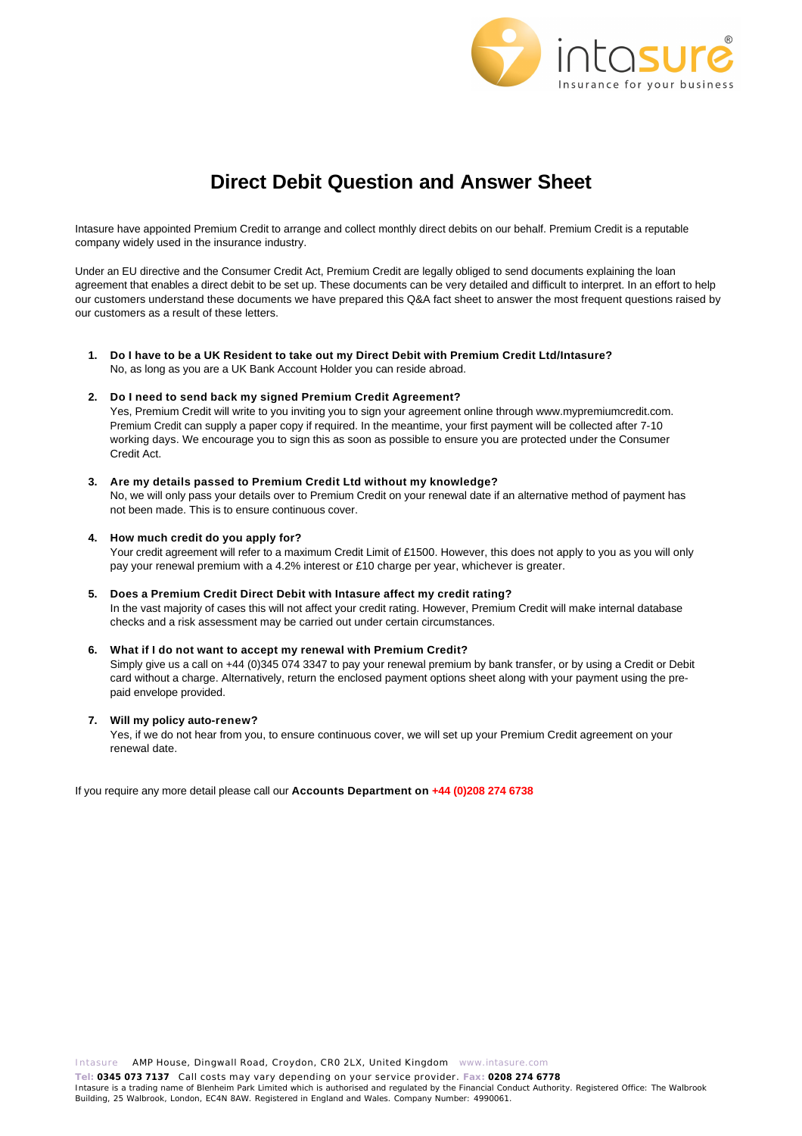

# **Direct Debit Question and Answer Sheet**

Intasure have appointed Premium Credit to arrange and collect monthly direct debits on our behalf. Premium Credit is a reputable company widely used in the insurance industry.

Under an EU directive and the Consumer Credit Act, Premium Credit are legally obliged to send documents explaining the loan agreement that enables a direct debit to be set up. These documents can be very detailed and difficult to interpret. In an effort to help our customers understand these documents we have prepared this Q&A fact sheet to answer the most frequent questions raised by our customers as a result of these letters.

**1. Do I have to be a UK Resident to take out my Direct Debit with Premium Credit Ltd/Intasure?** No, as long as you are a UK Bank Account Holder you can reside abroad.

### **2. Do I need to send back my signed Premium Credit Agreement?**

Yes, Premium Credit will write to you inviting you to sign your agreement online through www.mypremiumcredit.com. Premium Credit can supply a paper copy if required. In the meantime, your first payment will be collected after 7-10 working days. We encourage you to sign this as soon as possible to ensure you are protected under the Consumer Credit Act.

**3. Are my details passed to Premium Credit Ltd without my knowledge?**

No, we will only pass your details over to Premium Credit on your renewal date if an alternative method of payment has not been made. This is to ensure continuous cover.

**4. How much credit do you apply for?**

Your credit agreement will refer to a maximum Credit Limit of £1500. However, this does not apply to you as you will only pay your renewal premium with a 4.2% interest or £10 charge per year, whichever is greater.

**5. Does a Premium Credit Direct Debit with Intasure affect my credit rating?** In the vast majority of cases this will not affect your credit rating. However, Premium Credit will make internal database checks and a risk assessment may be carried out under certain circumstances.

### **6. What if I do not want to accept my renewal with Premium Credit?**

Simply give us a call on +44 (0)345 074 3347 to pay your renewal premium by bank transfer, or by using a Credit or Debit card without a charge. Alternatively, return the enclosed payment options sheet along with your payment using the prepaid envelope provided.

### **7. Will my policy auto-renew?**

Yes, if we do not hear from you, to ensure continuous cover, we will set up your Premium Credit agreement on your renewal date.

If you require any more detail please call our **Accounts Department on +44 (0)208 274 6738**